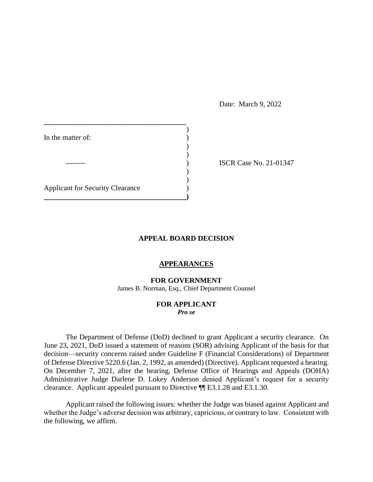Date: March 9, 2022

| In the matter of:                       |  |
|-----------------------------------------|--|
|                                         |  |
| <b>Applicant for Security Clearance</b> |  |
|                                         |  |
|                                         |  |
|                                         |  |
|                                         |  |

**ISCR Case No. 21-01347** 

# **APPEAL BOARD DECISION**

## **APPEARANCES**

### **FOR GOVERNMENT**

James B. Norman, Esq., Chief Department Counsel

#### **FOR APPLICANT**  *Pro se*

 The Department of Defense (DoD) declined to grant Applicant a security clearance. On June 23, 2021, DoD issued a statement of reasons (SOR) advising Applicant of the basis for that decision⸺security concerns raised under Guideline F (Financial Considerations) of Department of Defense Directive 5220.6 (Jan. 2, 1992, as amended) (Directive). Applicant requested a hearing. On December 7, 2021, after the hearing, Defense Office of Hearings and Appeals (DOHA) Administrative Judge Darlene D. Lokey Anderson denied Applicant's request for a security clearance. Applicant appealed pursuant to Directive ¶¶ E3.1.28 and E3.1.30.

 Applicant raised the following issues: whether the Judge was biased against Applicant and whether the Judge's adverse decision was arbitrary, capricious, or contrary to law. Consistent with the following, we affirm.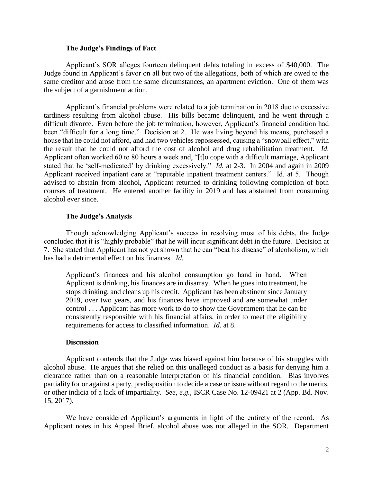### **The Judge's Findings of Fact**

 Applicant's SOR alleges fourteen delinquent debts totaling in excess of \$40,000. The Judge found in Applicant's favor on all but two of the allegations, both of which are owed to the same creditor and arose from the same circumstances, an apartment eviction. One of them was the subject of a garnishment action. the subject of a garnishment action.<br>Applicant's financial problems were related to a job termination in 2018 due to excessive

 tardiness resulting from alcohol abuse. His bills became delinquent, and he went through a difficult divorce. Even before the job termination, however, Applicant's financial condition had been "difficult for a long time." Decision at 2. He was living beyond his means, purchased a house that he could not afford, and had two vehicles repossessed, causing a "snowball effect," with Applicant often worked 60 to 80 hours a week and, "[t]o cope with a difficult marriage, Applicant stated that he 'self-medicated' by drinking excessively." *Id.* at 2-3. In 2004 and again in 2009 Applicant received inpatient care at "reputable inpatient treatment centers." Id. at 5. Though advised to abstain from alcohol, Applicant returned to drinking following completion of both courses of treatment. He entered another facility in 2019 and has abstained from consuming the result that he could not afford the cost of alcohol and drug rehabilitation treatment. *Id*. alcohol ever since.

#### **The Judge's Analysis**

 Though acknowledging Applicant's success in resolving most of his debts, the Judge 7. She stated that Applicant has not yet shown that he can "beat his disease" of alcoholism, which concluded that it is "highly probable" that he will incur significant debt in the future. Decision at has had a detrimental effect on his finances. *Id.* 

 Applicant is drinking, his finances are in disarray. When he goes into treatment, he stops drinking, and cleans up his credit. Applicant has been abstinent since January control . . . Applicant has more work to do to show the Government that he can be Applicant's finances and his alcohol consumption go hand in hand. When 2019, over two years, and his finances have improved and are somewhat under consistently responsible with his financial affairs, in order to meet the eligibility requirements for access to classified information. *Id.* at 8.

### **Discussion**

 Applicant contends that the Judge was biased against him because of his struggles with alcohol abuse. He argues that she relied on this unalleged conduct as a basis for denying him a clearance rather than on a reasonable interpretation of his financial condition. Bias involves partiality for or against a party, predisposition to decide a case or issue without regard to the merits, or other indicia of a lack of impartiality. *See, e.g.*, ISCR Case No. 12-09421 at 2 (App. Bd. Nov. 15, 2017).

 We have considered Applicant's arguments in light of the entirety of the record. As Applicant notes in his Appeal Brief, alcohol abuse was not alleged in the SOR. Department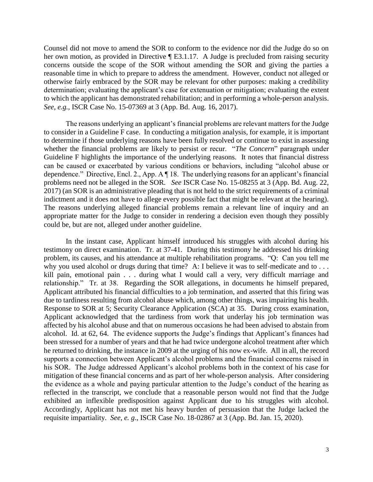Counsel did not move to amend the SOR to conform to the evidence nor did the Judge do so on her own motion, as provided in Directive [E3.1.17. A Judge is precluded from raising security concerns outside the scope of the SOR without amending the SOR and giving the parties a reasonable time in which to prepare to address the amendment. However, conduct not alleged or otherwise fairly embraced by the SOR may be relevant for other purposes: making a credibility to which the applicant has demonstrated rehabilitation; and in performing a whole-person analysis. determination; evaluating the applicant's case for extenuation or mitigation; evaluating the extent *See, e.g.,* ISCR Case No. 15-07369 at 3 (App. Bd. Aug. 16, 2017).

 The reasons underlying an applicant's financial problems are relevant matters for the Judge to consider in a Guideline F case. In conducting a mitigation analysis, for example, it is important to determine if those underlying reasons have been fully resolved or continue to exist in assessing whether the financial problems are likely to persist or recur. "*The Concern*" paragraph under Guideline F highlights the importance of the underlying reasons. It notes that financial distress dependence." Directive, Encl. 2., App. A ¶ 18. The underlying reasons for an applicant's financial 2017) (an SOR is an administrative pleading that is not held to the strict requirements of a criminal indictment and it does not have to allege every possible fact that might be relevant at the hearing). The reasons underlying alleged financial problems remain a relevant line of inquiry and an appropriate matter for the Judge to consider in rendering a decision even though they possibly can be caused or exacerbated by various conditions or behaviors, including "alcohol abuse or problems need not be alleged in the SOR. *See* ISCR Case No. 15-08255 at 3 (App. Bd. Aug. 22, could be, but are not, alleged under another guideline.

 testimony on direct examination. Tr. at 37-41. During this testimony he addressed his drinking problem, its causes, and his attendance at multiple rehabilitation programs. "Q: Can you tell me why you used alcohol or drugs during that time? A: I believe it was to self-medicate and to . . . kill pain, emotional pain . . . during what I would call a very, very difficult marriage and relationship." Tr. at 38. Regarding the SOR allegations, in documents he himself prepared, Response to SOR at 5; Security Clearance Application (SCA) at 35. During cross examination, Applicant acknowledged that the tardiness from work that underlay his job termination was alcohol. Id. at 62, 64. The evidence supports the Judge's findings that Applicant's finances had been stressed for a number of years and that he had twice undergone alcohol treatment after which he returned to drinking, the instance in 2009 at the urging of his now ex-wife. All in all, the record his SOR. The Judge addressed Applicant's alcohol problems both in the context of his case for the evidence as a whole and paying particular attention to the Judge's conduct of the hearing as exhibited an inflexible predisposition against Applicant due to his struggles with alcohol. Accordingly, Applicant has not met his heavy burden of persuasion that the Judge lacked the In the instant case, Applicant himself introduced his struggles with alcohol during his Applicant attributed his financial difficulties to a job termination, and asserted that this firing was due to tardiness resulting from alcohol abuse which, among other things, was impairing his health. affected by his alcohol abuse and that on numerous occasions he had been advised to abstain from supports a connection between Applicant's alcohol problems and the financial concerns raised in mitigation of these financial concerns and as part of her whole-person analysis. After considering reflected in the transcript, we conclude that a reasonable person would not find that the Judge requisite impartiality. *See, e. g*., ISCR Case No. 18-02867 at 3 (App. Bd. Jan. 15, 2020).